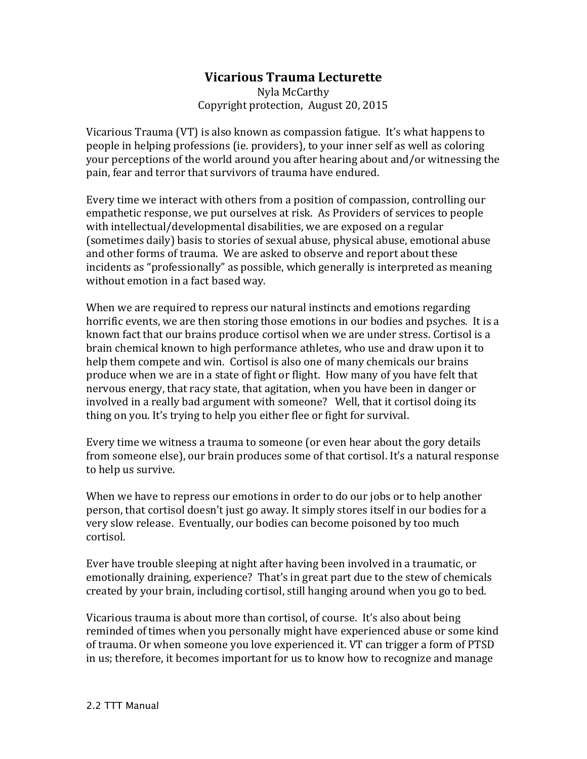## **Vicarious Trauma Lecturette**

Nyla McCarthy Copyright protection, August 20, 2015

Vicarious Trauma (VT) is also known as compassion fatigue. It's what happens to people in helping professions (ie. providers), to your inner self as well as coloring your perceptions of the world around you after hearing about and/or witnessing the pain, fear and terror that survivors of trauma have endured.

Every time we interact with others from a position of compassion, controlling our empathetic response, we put ourselves at risk. As Providers of services to people with intellectual/developmental disabilities, we are exposed on a regular (sometimes daily) basis to stories of sexual abuse, physical abuse, emotional abuse and other forms of trauma. We are asked to observe and report about these incidents as "professionally" as possible, which generally is interpreted as meaning without emotion in a fact based way.

When we are required to repress our natural instincts and emotions regarding horrific events, we are then storing those emotions in our bodies and psyches. It is a known fact that our brains produce cortisol when we are under stress. Cortisol is a brain chemical known to high performance athletes, who use and draw upon it to help them compete and win. Cortisol is also one of many chemicals our brains produce when we are in a state of fight or flight. How many of you have felt that nervous energy, that racy state, that agitation, when you have been in danger or involved in a really bad argument with someone? Well, that it cortisol doing its thing on you. It's trying to help you either flee or fight for survival.

Every time we witness a trauma to someone (or even hear about the gory details from someone else), our brain produces some of that cortisol. It's a natural response to help us survive.

When we have to repress our emotions in order to do our jobs or to help another person, that cortisol doesn't just go away. It simply stores itself in our bodies for a very slow release. Eventually, our bodies can become poisoned by too much cortisol.

Ever have trouble sleeping at night after having been involved in a traumatic, or emotionally draining, experience? That's in great part due to the stew of chemicals created by your brain, including cortisol, still hanging around when you go to bed.

Vicarious trauma is about more than cortisol, of course. It's also about being reminded of times when you personally might have experienced abuse or some kind of trauma. Or when someone you love experienced it. VT can trigger a form of PTSD in us; therefore, it becomes important for us to know how to recognize and manage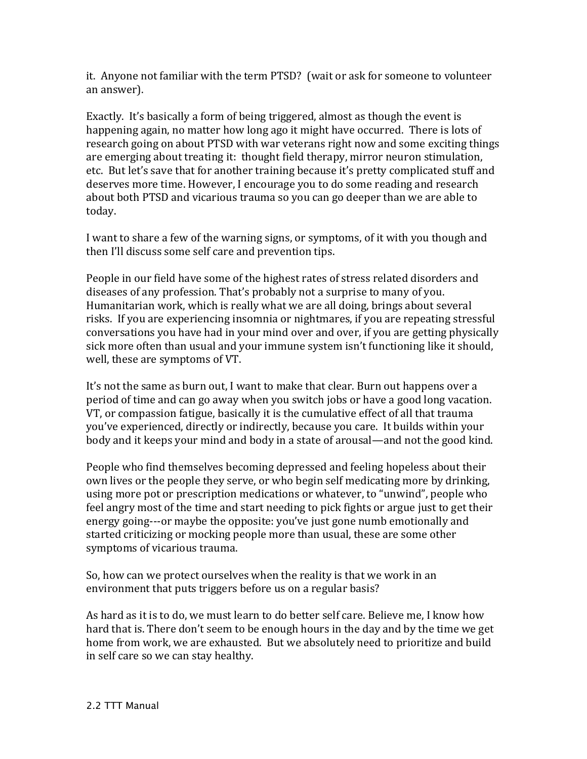it. Anyone not familiar with the term PTSD? (wait or ask for someone to volunteer an answer).

Exactly. It's basically a form of being triggered, almost as though the event is happening again, no matter how long ago it might have occurred. There is lots of research going on about PTSD with war veterans right now and some exciting things are emerging about treating it: thought field therapy, mirror neuron stimulation, etc. But let's save that for another training because it's pretty complicated stuff and deserves more time. However, I encourage you to do some reading and research about both PTSD and vicarious trauma so you can go deeper than we are able to today.

I want to share a few of the warning signs, or symptoms, of it with you though and then I'll discuss some self care and prevention tips.

People in our field have some of the highest rates of stress related disorders and diseases of any profession. That's probably not a surprise to many of you. Humanitarian work, which is really what we are all doing, brings about several risks. If you are experiencing insomnia or nightmares, if you are repeating stressful conversations you have had in your mind over and over, if you are getting physically sick more often than usual and your immune system isn't functioning like it should, well, these are symptoms of VT.

It's not the same as burn out, I want to make that clear. Burn out happens over a period of time and can go away when you switch jobs or have a good long vacation. VT, or compassion fatigue, basically it is the cumulative effect of all that trauma you've experienced, directly or indirectly, because you care. It builds within your body and it keeps your mind and body in a state of arousal—and not the good kind.

People who find themselves becoming depressed and feeling hopeless about their own lives or the people they serve, or who begin self medicating more by drinking, using more pot or prescription medications or whatever, to "unwind", people who feel angry most of the time and start needing to pick fights or argue just to get their energy going---or maybe the opposite: you've just gone numb emotionally and started criticizing or mocking people more than usual, these are some other symptoms of vicarious trauma.

So, how can we protect ourselves when the reality is that we work in an environment that puts triggers before us on a regular basis?

As hard as it is to do, we must learn to do better self care. Believe me, I know how hard that is. There don't seem to be enough hours in the day and by the time we get home from work, we are exhausted. But we absolutely need to prioritize and build in self care so we can stay healthy.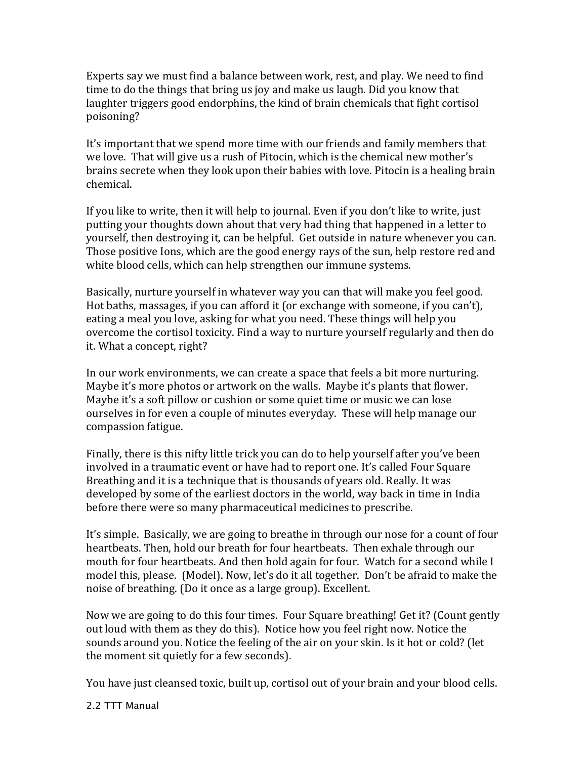Experts say we must find a balance between work, rest, and play. We need to find time to do the things that bring us joy and make us laugh. Did you know that laughter triggers good endorphins, the kind of brain chemicals that fight cortisol poisoning?

It's important that we spend more time with our friends and family members that we love. That will give us a rush of Pitocin, which is the chemical new mother's brains secrete when they look upon their babies with love. Pitocin is a healing brain chemical.

If you like to write, then it will help to journal. Even if you don't like to write, just putting your thoughts down about that very bad thing that happened in a letter to yourself, then destroying it, can be helpful. Get outside in nature whenever you can. Those positive Ions, which are the good energy rays of the sun, help restore red and white blood cells, which can help strengthen our immune systems.

Basically, nurture yourself in whatever way you can that will make you feel good. Hot baths, massages, if you can afford it (or exchange with someone, if you can't), eating a meal you love, asking for what you need. These things will help you overcome the cortisol toxicity. Find a way to nurture yourself regularly and then do it. What a concept, right?

In our work environments, we can create a space that feels a bit more nurturing. Maybe it's more photos or artwork on the walls. Maybe it's plants that flower. Maybe it's a soft pillow or cushion or some quiet time or music we can lose ourselves in for even a couple of minutes everyday. These will help manage our compassion fatigue.

Finally, there is this nifty little trick you can do to help yourself after you've been involved in a traumatic event or have had to report one. It's called Four Square Breathing and it is a technique that is thousands of years old. Really. It was developed by some of the earliest doctors in the world, way back in time in India before there were so many pharmaceutical medicines to prescribe.

It's simple. Basically, we are going to breathe in through our nose for a count of four heartbeats. Then, hold our breath for four heartbeats. Then exhale through our mouth for four heartbeats. And then hold again for four. Watch for a second while I model this, please. (Model). Now, let's do it all together. Don't be afraid to make the noise of breathing. (Do it once as a large group). Excellent.

Now we are going to do this four times. Four Square breathing! Get it? (Count gently out loud with them as they do this). Notice how you feel right now. Notice the sounds around you. Notice the feeling of the air on your skin. Is it hot or cold? (let the moment sit quietly for a few seconds).

You have just cleansed toxic, built up, cortisol out of your brain and your blood cells.

2.2 TTT Manual